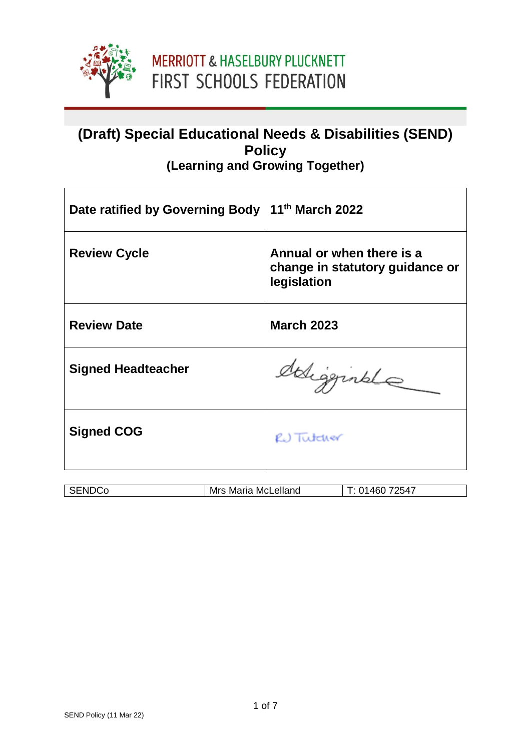

### **(Draft) Special Educational Needs & Disabilities (SEND) Policy (Learning and Growing Together)**

| Date ratified by Governing Body | 11 <sup>th</sup> March 2022                                                 |
|---------------------------------|-----------------------------------------------------------------------------|
| <b>Review Cycle</b>             | Annual or when there is a<br>change in statutory guidance or<br>legislation |
| <b>Review Date</b>              | <b>March 2023</b>                                                           |
| <b>Signed Headteacher</b>       | deligginale                                                                 |
| <b>Signed COG</b>               | RU Tutcher                                                                  |

| McLelland<br>Mrs<br>Maria | 2547<br>ль |
|---------------------------|------------|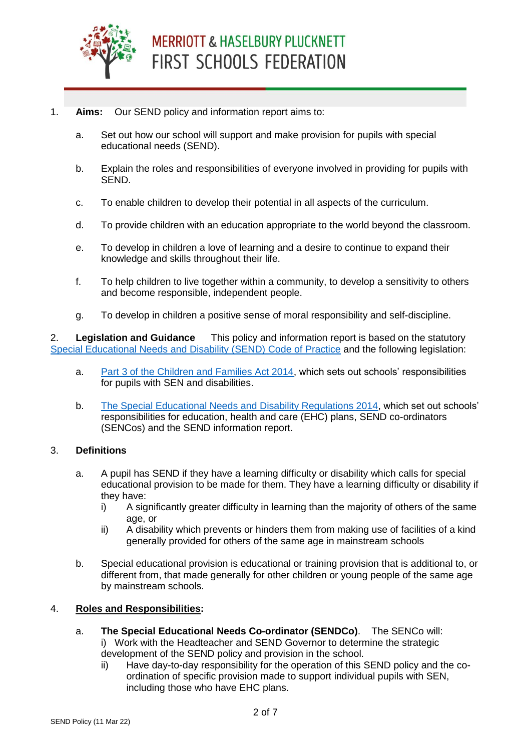

# **MERRIOTT & HASELBURY PLUCKNETT** FIRST SCHOOLS FEDERATION

#### 1. **Aims:** Our SEND policy and information report aims to:

- a. Set out how our school will support and make provision for pupils with special educational needs (SEND).
- b. Explain the roles and responsibilities of everyone involved in providing for pupils with SEND.
- c. To enable children to develop their potential in all aspects of the curriculum.
- d. To provide children with an education appropriate to the world beyond the classroom.
- e. To develop in children a love of learning and a desire to continue to expand their knowledge and skills throughout their life.
- f. To help children to live together within a community, to develop a sensitivity to others and become responsible, independent people.
- g. To develop in children a positive sense of moral responsibility and self-discipline.

2. **Legislation and Guidance** This policy and information report is based on the statutory [Special Educational Needs and Disability \(SEND\) Code of Practice](https://www.gov.uk/government/uploads/system/uploads/attachment_data/file/398815/SEND_Code_of_Practice_January_2015.pdf) and the following legislation:

- a. [Part 3 of the Children and Families Act 2014,](http://www.legislation.gov.uk/ukpga/2014/6/part/3) which sets out schools' responsibilities for pupils with SEN and disabilities.
- b. [The Special Educational Needs and Disability Regulations 2014,](http://www.legislation.gov.uk/uksi/2014/1530/contents/made) which set out schools' responsibilities for education, health and care (EHC) plans, SEND co-ordinators (SENCos) and the SEND information report.

### 3. **Definitions**

- a. A pupil has SEND if they have a learning difficulty or disability which calls for special educational provision to be made for them. They have a learning difficulty or disability if they have:
	- i) A significantly greater difficulty in learning than the majority of others of the same age, or
	- ii) A disability which prevents or hinders them from making use of facilities of a kind generally provided for others of the same age in mainstream schools
- b. Special educational provision is educational or training provision that is additional to, or different from, that made generally for other children or young people of the same age by mainstream schools.

### 4. **Roles and Responsibilities:**

- a. **The Special Educational Needs Co-ordinator (SENDCo)**. The SENCo will: i) Work with the Headteacher and SEND Governor to determine the strategic development of the SEND policy and provision in the school.
	- ii) Have day-to-day responsibility for the operation of this SEND policy and the coordination of specific provision made to support individual pupils with SEN, including those who have EHC plans.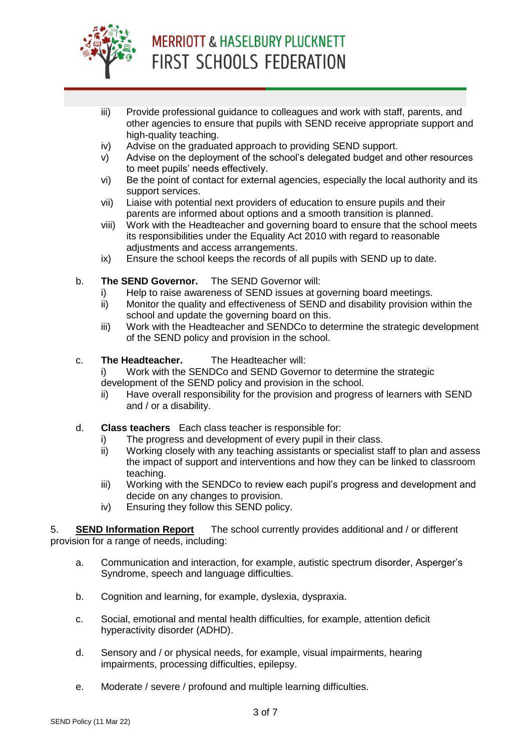

# **MERRIOTT & HASELBURY PLUCKNETT** FIRST SCHOOLS FEDERATION

- iii) Provide professional guidance to colleagues and work with staff, parents, and other agencies to ensure that pupils with SEND receive appropriate support and high-quality teaching.
- iv) Advise on the graduated approach to providing SEND support.
- v) Advise on the deployment of the school's delegated budget and other resources to meet pupils' needs effectively.
- vi) Be the point of contact for external agencies, especially the local authority and its support services.
- vii) Liaise with potential next providers of education to ensure pupils and their parents are informed about options and a smooth transition is planned.
- viii) Work with the Headteacher and governing board to ensure that the school meets its responsibilities under the Equality Act 2010 with regard to reasonable adjustments and access arrangements.
- ix) Ensure the school keeps the records of all pupils with SEND up to date.
- b. **The SEND Governor.** The SEND Governor will:
	- i) Help to raise awareness of SEND issues at governing board meetings.
	- ii) Monitor the quality and effectiveness of SEND and disability provision within the school and update the governing board on this.
	- iii) Work with the Headteacher and SENDCo to determine the strategic development of the SEND policy and provision in the school.
- c. **The Headteacher.** The Headteacher will:

i) Work with the SENDCo and SEND Governor to determine the strategic development of the SEND policy and provision in the school.

- ii) Have overall responsibility for the provision and progress of learners with SEND and / or a disability.
- d. **Class teachers** Each class teacher is responsible for:
	- i) The progress and development of every pupil in their class.
	- ii) Working closely with any teaching assistants or specialist staff to plan and assess the impact of support and interventions and how they can be linked to classroom teaching.
	- iii) Working with the SENDCo to review each pupil's progress and development and decide on any changes to provision.
	- iv) Ensuring they follow this SEND policy.

5. **SEND Information Report** The school currently provides additional and / or different provision for a range of needs, including:

- a. Communication and interaction, for example, autistic spectrum disorder, Asperger's Syndrome, speech and language difficulties.
- b. Cognition and learning, for example, dyslexia, dyspraxia.
- c. Social, emotional and mental health difficulties, for example, attention deficit hyperactivity disorder (ADHD).
- d. Sensory and / or physical needs, for example, visual impairments, hearing impairments, processing difficulties, epilepsy.
- e. Moderate / severe / profound and multiple learning difficulties.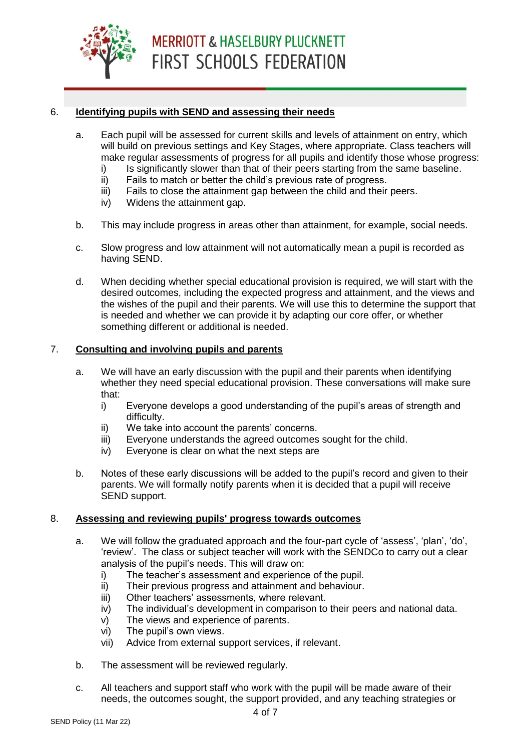

#### 6. **Identifying pupils with SEND and assessing their needs**

- a. Each pupil will be assessed for current skills and levels of attainment on entry, which will build on previous settings and Key Stages, where appropriate. Class teachers will make regular assessments of progress for all pupils and identify those whose progress:
	- i) Is significantly slower than that of their peers starting from the same baseline.
	- ii) Fails to match or better the child's previous rate of progress.
	- iii) Fails to close the attainment gap between the child and their peers.
	- iv) Widens the attainment gap.
- b. This may include progress in areas other than attainment, for example, social needs.
- c. Slow progress and low attainment will not automatically mean a pupil is recorded as having SEND.
- d. When deciding whether special educational provision is required, we will start with the desired outcomes, including the expected progress and attainment, and the views and the wishes of the pupil and their parents. We will use this to determine the support that is needed and whether we can provide it by adapting our core offer, or whether something different or additional is needed.

#### 7. **Consulting and involving pupils and parents**

- a. We will have an early discussion with the pupil and their parents when identifying whether they need special educational provision. These conversations will make sure that:
	- i) Everyone develops a good understanding of the pupil's areas of strength and difficulty.
	- ii) We take into account the parents' concerns.
	- iii) Everyone understands the agreed outcomes sought for the child.
	- iv) Everyone is clear on what the next steps are
- b. Notes of these early discussions will be added to the pupil's record and given to their parents. We will formally notify parents when it is decided that a pupil will receive SEND support.

#### 8. **Assessing and reviewing pupils' progress towards outcomes**

- a. We will follow the graduated approach and the four-part cycle of 'assess', 'plan', 'do', 'review'. The class or subject teacher will work with the SENDCo to carry out a clear analysis of the pupil's needs. This will draw on:
	- i) The teacher's assessment and experience of the pupil.
	- ii) Their previous progress and attainment and behaviour.
	- iii) Other teachers' assessments, where relevant.
	- iv) The individual's development in comparison to their peers and national data.
	- v) The views and experience of parents.
	- vi) The pupil's own views.
	- vii) Advice from external support services, if relevant.
- b. The assessment will be reviewed regularly.
- c. All teachers and support staff who work with the pupil will be made aware of their needs, the outcomes sought, the support provided, and any teaching strategies or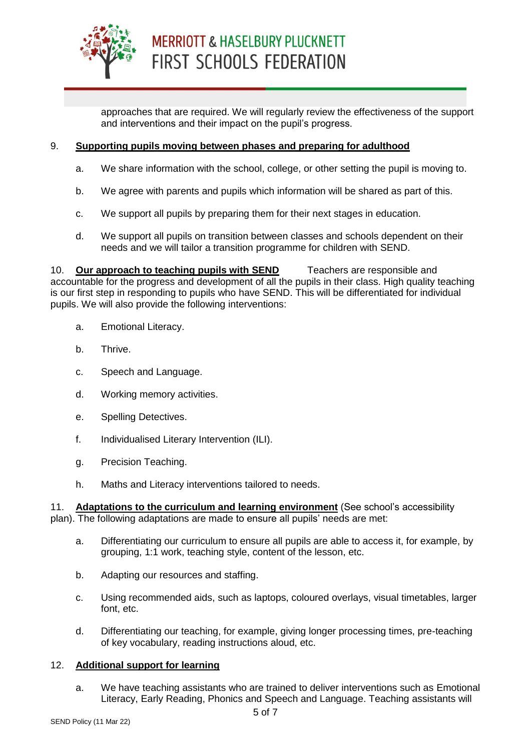

approaches that are required. We will regularly review the effectiveness of the support and interventions and their impact on the pupil's progress.

#### 9. **Supporting pupils moving between phases and preparing for adulthood**

- a. We share information with the school, college, or other setting the pupil is moving to.
- b. We agree with parents and pupils which information will be shared as part of this.
- c. We support all pupils by preparing them for their next stages in education.
- d. We support all pupils on transition between classes and schools dependent on their needs and we will tailor a transition programme for children with SEND.

10. **Our approach to teaching pupils with SEND** Teachers are responsible and accountable for the progress and development of all the pupils in their class. High quality teaching is our first step in responding to pupils who have SEND. This will be differentiated for individual pupils. We will also provide the following interventions:

- a. Emotional Literacy.
- b. Thrive.
- c. Speech and Language.
- d. Working memory activities.
- e. Spelling Detectives.
- f. Individualised Literary Intervention (ILI).
- g. Precision Teaching.
- h. Maths and Literacy interventions tailored to needs.

11. **Adaptations to the curriculum and learning environment** (See school's accessibility plan). The following adaptations are made to ensure all pupils' needs are met:

- a. Differentiating our curriculum to ensure all pupils are able to access it, for example, by grouping, 1:1 work, teaching style, content of the lesson, etc.
- b. Adapting our resources and staffing.
- c. Using recommended aids, such as laptops, coloured overlays, visual timetables, larger font, etc.
- d. Differentiating our teaching, for example, giving longer processing times, pre-teaching of key vocabulary, reading instructions aloud, etc.

#### 12. **Additional support for learning**

a. We have teaching assistants who are trained to deliver interventions such as Emotional Literacy, Early Reading, Phonics and Speech and Language. Teaching assistants will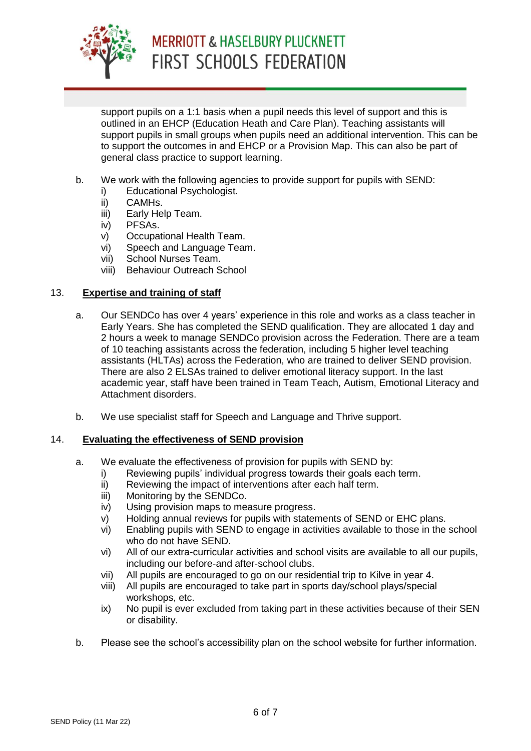

### **MERRIOTT & HASELBURY PLUCKNETT FIRST SCHOOLS FEDERATION**

support pupils on a 1:1 basis when a pupil needs this level of support and this is outlined in an EHCP (Education Heath and Care Plan). Teaching assistants will support pupils in small groups when pupils need an additional intervention. This can be to support the outcomes in and EHCP or a Provision Map. This can also be part of general class practice to support learning.

- b. We work with the following agencies to provide support for pupils with SEND:
	- i) Educational Psychologist.
	- ii) CAMHs.
	- iii) Early Help Team.
	- iv) PFSAs.
	- v) Occupational Health Team.
	- vi) Speech and Language Team.
	- vii) School Nurses Team.
	- viii) Behaviour Outreach School

#### 13. **Expertise and training of staff**

- a. Our SENDCo has over 4 years' experience in this role and works as a class teacher in Early Years. She has completed the SEND qualification. They are allocated 1 day and 2 hours a week to manage SENDCo provision across the Federation. There are a team of 10 teaching assistants across the federation, including 5 higher level teaching assistants (HLTAs) across the Federation, who are trained to deliver SEND provision. There are also 2 ELSAs trained to deliver emotional literacy support. In the last academic year, staff have been trained in Team Teach, Autism, Emotional Literacy and Attachment disorders.
- b. We use specialist staff for Speech and Language and Thrive support.

#### 14. **Evaluating the effectiveness of SEND provision**

- a. We evaluate the effectiveness of provision for pupils with SEND by:
	- i) Reviewing pupils' individual progress towards their goals each term.
	- ii) Reviewing the impact of interventions after each half term.
	- iii) Monitoring by the SENDCo.
	- iv) Using provision maps to measure progress.
	- v) Holding annual reviews for pupils with statements of SEND or EHC plans.
	- vi) Enabling pupils with SEND to engage in activities available to those in the school who do not have SEND.
	- vi) All of our extra-curricular activities and school visits are available to all our pupils, including our before-and after-school clubs.
	- vii) All pupils are encouraged to go on our residential trip to Kilve in year 4.
	- viii) All pupils are encouraged to take part in sports day/school plays/special workshops, etc.
	- ix) No pupil is ever excluded from taking part in these activities because of their SEN or disability.
- b. Please see the school's accessibility plan on the school website for further information.